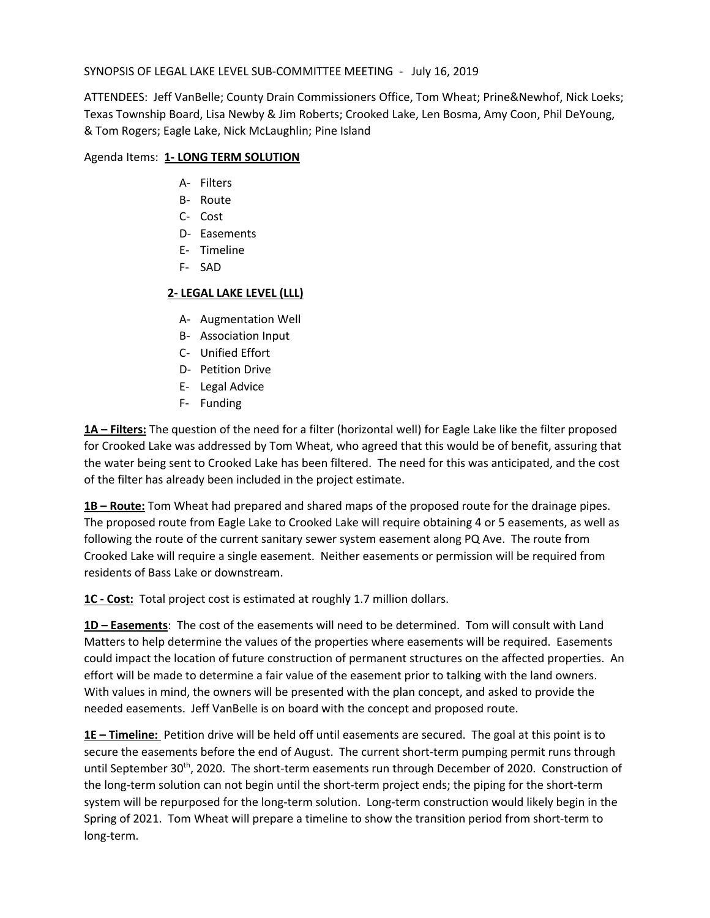## SYNOPSIS OF LEGAL LAKE LEVEL SUB-COMMITTEE MEETING - July 16, 2019

ATTENDEES: Jeff VanBelle; County Drain Commissioners Office, Tom Wheat; Prine&Newhof, Nick Loeks; Texas Township Board, Lisa Newby & Jim Roberts; Crooked Lake, Len Bosma, Amy Coon, Phil DeYoung, & Tom Rogers; Eagle Lake, Nick McLaughlin; Pine Island

## Agenda Items: **1- LONG TERM SOLUTION**

- A- Filters
- B- Route
- C- Cost
- D- Easements
- E- Timeline
- F- SAD

## **2- LEGAL LAKE LEVEL (LLL)**

- A- Augmentation Well
- B- Association Input
- C- Unified Effort
- D- Petition Drive
- E- Legal Advice
- F- Funding

**1A – Filters:** The question of the need for a filter (horizontal well) for Eagle Lake like the filter proposed for Crooked Lake was addressed by Tom Wheat, who agreed that this would be of benefit, assuring that the water being sent to Crooked Lake has been filtered. The need for this was anticipated, and the cost of the filter has already been included in the project estimate.

**1B – Route:** Tom Wheat had prepared and shared maps of the proposed route for the drainage pipes. The proposed route from Eagle Lake to Crooked Lake will require obtaining 4 or 5 easements, as well as following the route of the current sanitary sewer system easement along PQ Ave. The route from Crooked Lake will require a single easement. Neither easements or permission will be required from residents of Bass Lake or downstream.

**1C - Cost:** Total project cost is estimated at roughly 1.7 million dollars.

**1D – Easements**: The cost of the easements will need to be determined. Tom will consult with Land Matters to help determine the values of the properties where easements will be required. Easements could impact the location of future construction of permanent structures on the affected properties. An effort will be made to determine a fair value of the easement prior to talking with the land owners. With values in mind, the owners will be presented with the plan concept, and asked to provide the needed easements. Jeff VanBelle is on board with the concept and proposed route.

**1E – Timeline:** Petition drive will be held off until easements are secured. The goal at this point is to secure the easements before the end of August. The current short-term pumping permit runs through until September 30<sup>th</sup>, 2020. The short-term easements run through December of 2020. Construction of the long-term solution can not begin until the short-term project ends; the piping for the short-term system will be repurposed for the long-term solution. Long-term construction would likely begin in the Spring of 2021. Tom Wheat will prepare a timeline to show the transition period from short-term to long-term.